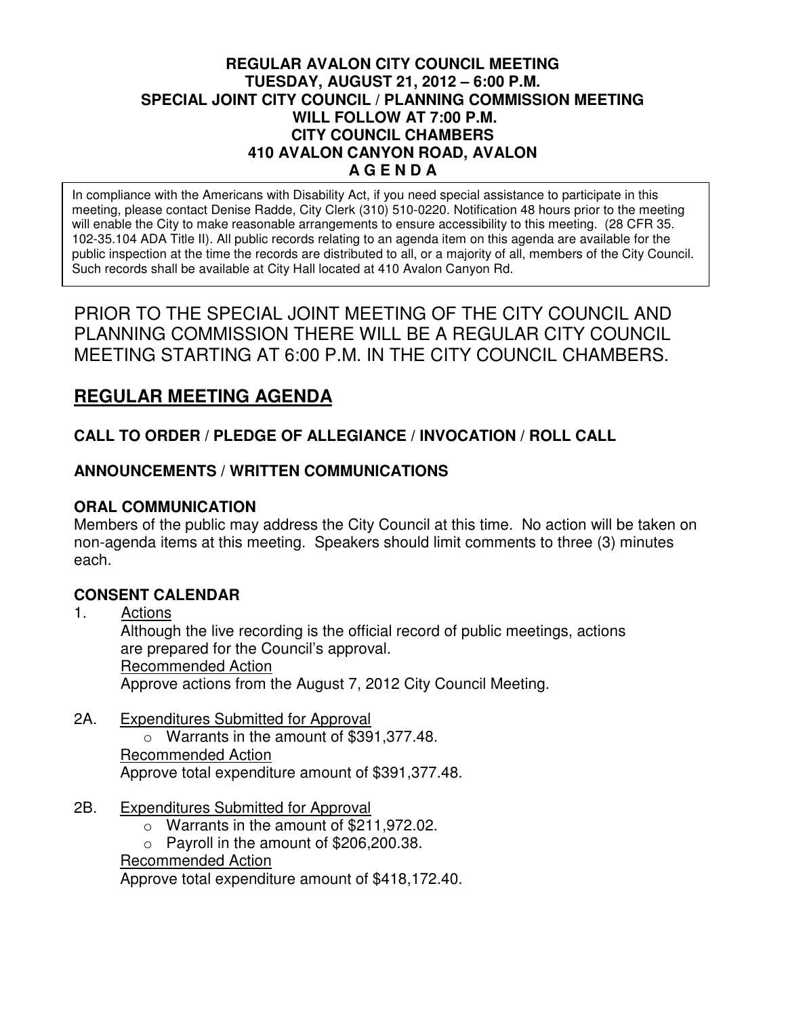## **REGULAR AVALON CITY COUNCIL MEETING TUESDAY, AUGUST 21, 2012 – 6:00 P.M. SPECIAL JOINT CITY COUNCIL / PLANNING COMMISSION MEETING WILL FOLLOW AT 7:00 P.M. CITY COUNCIL CHAMBERS 410 AVALON CANYON ROAD, AVALON A G E N D A**

In compliance with the Americans with Disability Act, if you need special assistance to participate in this meeting, please contact Denise Radde, City Clerk (310) 510-0220. Notification 48 hours prior to the meeting will enable the City to make reasonable arrangements to ensure accessibility to this meeting. (28 CFR 35. 102-35.104 ADA Title II). All public records relating to an agenda item on this agenda are available for the public inspection at the time the records are distributed to all, or a majority of all, members of the City Council. Such records shall be available at City Hall located at 410 Avalon Canyon Rd.

PRIOR TO THE SPECIAL JOINT MEETING OF THE CITY COUNCIL AND PLANNING COMMISSION THERE WILL BE A REGULAR CITY COUNCIL MEETING STARTING AT 6:00 P.M. IN THE CITY COUNCIL CHAMBERS.

# **REGULAR MEETING AGENDA**

# **CALL TO ORDER / PLEDGE OF ALLEGIANCE / INVOCATION / ROLL CALL**

# **ANNOUNCEMENTS / WRITTEN COMMUNICATIONS**

# **ORAL COMMUNICATION**

Members of the public may address the City Council at this time. No action will be taken on non-agenda items at this meeting. Speakers should limit comments to three (3) minutes each.

## **CONSENT CALENDAR**

1. Actions Although the live recording is the official record of public meetings, actions are prepared for the Council's approval. Recommended Action Approve actions from the August 7, 2012 City Council Meeting.

- 2A. Expenditures Submitted for Approval o Warrants in the amount of \$391,377.48. Recommended Action Approve total expenditure amount of \$391,377.48.
- 2B. Expenditures Submitted for Approval
	- o Warrants in the amount of \$211,972.02.

 $\circ$  Payroll in the amount of \$206,200.38.

Recommended Action

Approve total expenditure amount of \$418,172.40.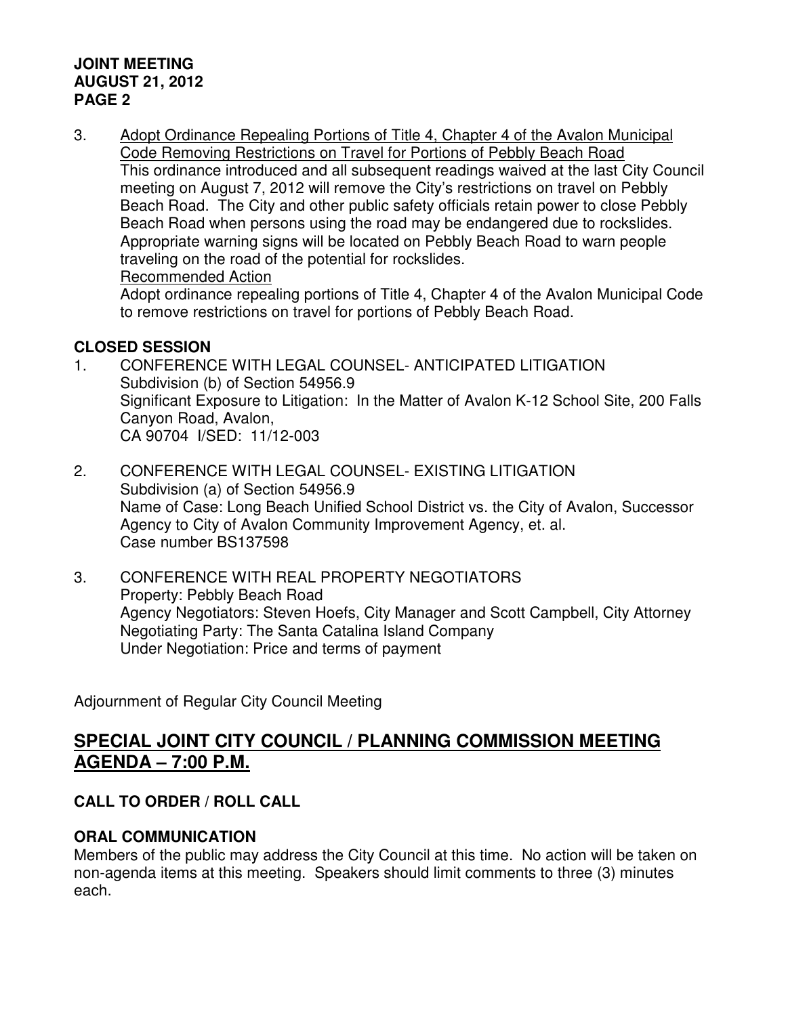## **JOINT MEETING AUGUST 21, 2012 PAGE 2**

3. Adopt Ordinance Repealing Portions of Title 4, Chapter 4 of the Avalon Municipal Code Removing Restrictions on Travel for Portions of Pebbly Beach Road This ordinance introduced and all subsequent readings waived at the last City Council meeting on August 7, 2012 will remove the City's restrictions on travel on Pebbly Beach Road. The City and other public safety officials retain power to close Pebbly Beach Road when persons using the road may be endangered due to rockslides. Appropriate warning signs will be located on Pebbly Beach Road to warn people traveling on the road of the potential for rockslides. Recommended Action

 Adopt ordinance repealing portions of Title 4, Chapter 4 of the Avalon Municipal Code to remove restrictions on travel for portions of Pebbly Beach Road.

# **CLOSED SESSION**

- 1. CONFERENCE WITH LEGAL COUNSEL- ANTICIPATED LITIGATION Subdivision (b) of Section 54956.9 Significant Exposure to Litigation: In the Matter of Avalon K-12 School Site, 200 Falls Canyon Road, Avalon, CA 90704 I/SED: 11/12-003
- 2. CONFERENCE WITH LEGAL COUNSEL- EXISTING LITIGATION Subdivision (a) of Section 54956.9 Name of Case: Long Beach Unified School District vs. the City of Avalon, Successor Agency to City of Avalon Community Improvement Agency, et. al. Case number BS137598
- 3. CONFERENCE WITH REAL PROPERTY NEGOTIATORS Property: Pebbly Beach Road Agency Negotiators: Steven Hoefs, City Manager and Scott Campbell, City Attorney Negotiating Party: The Santa Catalina Island Company Under Negotiation: Price and terms of payment

Adjournment of Regular City Council Meeting

# **SPECIAL JOINT CITY COUNCIL / PLANNING COMMISSION MEETING AGENDA – 7:00 P.M.**

# **CALL TO ORDER / ROLL CALL**

# **ORAL COMMUNICATION**

Members of the public may address the City Council at this time. No action will be taken on non-agenda items at this meeting. Speakers should limit comments to three (3) minutes each.